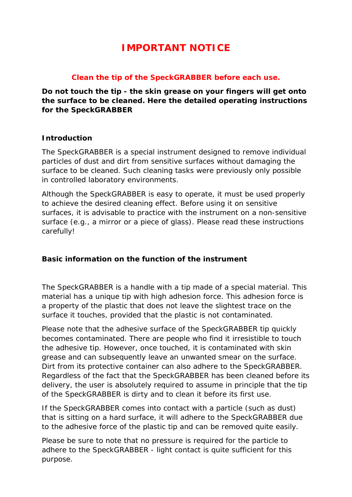# **IMPORTANT NOTICE**

### **Clean the tip of the SpeckGRABBER before each use.**

**Do not touch the tip - the skin grease on your fingers will get onto the surface to be cleaned. Here the detailed operating instructions for the SpeckGRABBER**

#### **Introduction**

The SpeckGRABBER is a special instrument designed to remove individual particles of dust and dirt from sensitive surfaces without damaging the surface to be cleaned. Such cleaning tasks were previously only possible in controlled laboratory environments.

Although the SpeckGRABBER is easy to operate, it must be used properly to achieve the desired cleaning effect. Before using it on sensitive surfaces, it is advisable to practice with the instrument on a non-sensitive surface (e.g., a mirror or a piece of glass). Please read these instructions carefully!

#### **Basic information on the function of the instrument**

The SpeckGRABBER is a handle with a tip made of a special material. This material has a unique tip with high adhesion force. This adhesion force is a property of the plastic that does not leave the slightest trace on the surface it touches, provided that the plastic is not contaminated.

Please note that the adhesive surface of the SpeckGRABBER tip quickly becomes contaminated. There are people who find it irresistible to touch the adhesive tip. However, once touched, it is contaminated with skin grease and can subsequently leave an unwanted smear on the surface. Dirt from its protective container can also adhere to the SpeckGRABBER. Regardless of the fact that the SpeckGRABBER has been cleaned before its delivery, the user is absolutely required to assume in principle that the tip of the SpeckGRABBER is dirty and to clean it before its first use.

If the SpeckGRABBER comes into contact with a particle (such as dust) that is sitting on a hard surface, it will adhere to the SpeckGRABBER due to the adhesive force of the plastic tip and can be removed quite easily.

Please be sure to note that no pressure is required for the particle to adhere to the SpeckGRABBER - light contact is quite sufficient for this purpose.